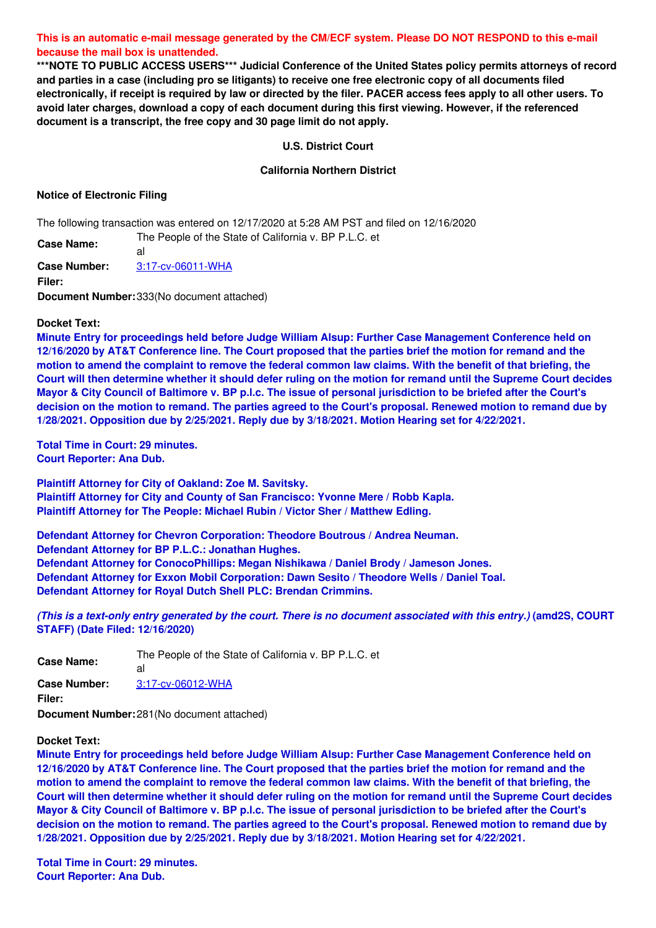This is an automatic e-mail message generated by the CM/ECF system. Please DO NOT RESPOND to this e-mail **because the mail box is unattended.**

**\*\*\*NOTE TO PUBLIC ACCESS USERS\*\*\* Judicial Conference of the United States policy permits attorneys of record** and parties in a case (including pro se litigants) to receive one free electronic copy of all documents filed electronically, if receipt is required by law or directed by the filer. PACER access fees apply to all other users. To avoid later charges, download a copy of each document during this first viewing. However, if the referenced **document is a transcript, the free copy and 30 page limit do not apply.**

## **U.S. District Court**

## **California Northern District**

## **Notice of Electronic Filing**

The following transaction was entered on 12/17/2020 at 5:28 AM PST and filed on 12/16/2020

**Case Name:** al

The People of the State of California v. BP P.L.C. et

**Case Number:** [3:17-cv-06011-WHA](https://ecf.cand.uscourts.gov/cgi-bin/DktRpt.pl?318403)

**Filer:**

**Document Number:**333(No document attached)

### **Docket Text:**

**Minute Entry for proceedings held before Judge William Alsup: Further Case Management Conference held on** 12/16/2020 by AT&T Conference line. The Court proposed that the parties brief the motion for remand and the motion to amend the complaint to remove the federal common law claims. With the benefit of that briefing, the Court will then determine whether it should defer ruling on the motion for remand until the Supreme Court decides Mayor & City Council of Baltimore v. BP p.l.c. The issue of personal jurisdiction to be briefed after the Court's decision on the motion to remand. The parties agreed to the Court's proposal. Renewed motion to remand due by **1/28/2021. Opposition due by 2/25/2021. Reply due by 3/18/2021. Motion Hearing set for 4/22/2021.**

**Total Time in Court: 29 minutes. Court Reporter: Ana Dub.**

**Plaintiff Attorney for City of Oakland: Zoe M. Savitsky. Plaintiff Attorney for City and County of San Francisco: Yvonne Mere / Robb Kapla. Plaintiff Attorney for The People: Michael Rubin / Victor Sher / Matthew Edling.**

**Defendant Attorney for Chevron Corporation: Theodore Boutrous / Andrea Neuman. Defendant Attorney for BP P.L.C.: Jonathan Hughes. Defendant Attorney for ConocoPhillips: Megan Nishikawa / Daniel Brody / Jameson Jones. Defendant Attorney for Exxon Mobil Corporation: Dawn Sesito / Theodore Wells / Daniel Toal. Defendant Attorney for Royal Dutch Shell PLC: Brendan Crimmins.**

(This is a text-only entry generated by the court. There is no document associated with this entry.) (amd2S, COURT **STAFF) (Date Filed: 12/16/2020)**

**Case Name:** The People of the State of California v. BP P.L.C. et al **Case Number:** [3:17-cv-06012-WHA](https://ecf.cand.uscourts.gov/cgi-bin/DktRpt.pl?318404) **Filer: Document Number:**281(No document attached)

# **Docket Text:**

**Minute Entry for proceedings held before Judge William Alsup: Further Case Management Conference held on** 12/16/2020 by AT&T Conference line. The Court proposed that the parties brief the motion for remand and the motion to amend the complaint to remove the federal common law claims. With the benefit of that briefing, the Court will then determine whether it should defer ruling on the motion for remand until the Supreme Court decides Mayor & City Council of Baltimore v. BP p.l.c. The issue of personal jurisdiction to be briefed after the Court's decision on the motion to remand. The parties agreed to the Court's proposal. Renewed motion to remand due by **1/28/2021. Opposition due by 2/25/2021. Reply due by 3/18/2021. Motion Hearing set for 4/22/2021.**

**Total Time in Court: 29 minutes. Court Reporter: Ana Dub.**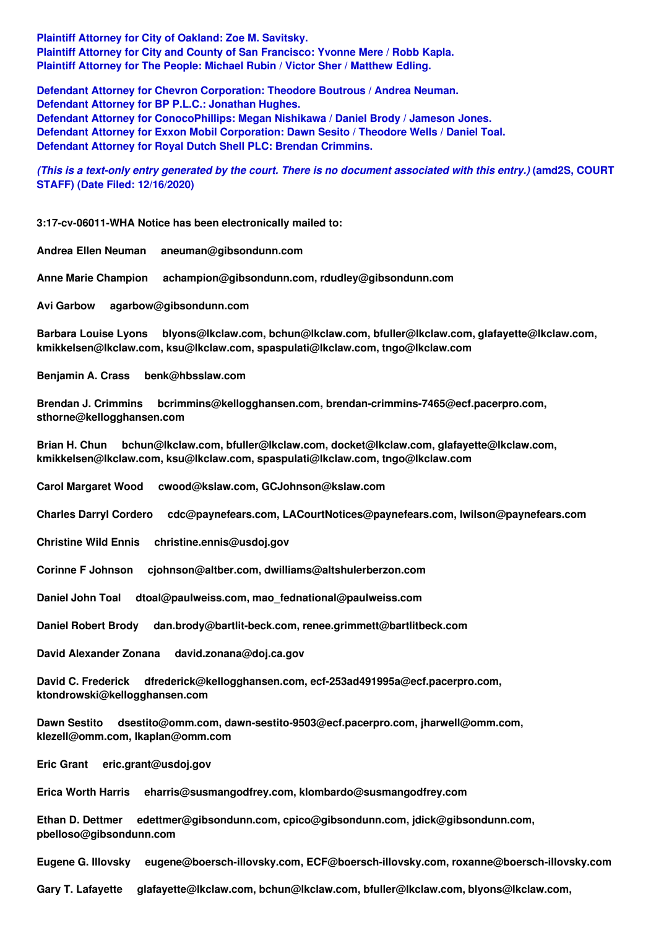**Plaintiff Attorney for City of Oakland: Zoe M. Savitsky. Plaintiff Attorney for City and County of San Francisco: Yvonne Mere / Robb Kapla. Plaintiff Attorney for The People: Michael Rubin / Victor Sher / Matthew Edling.**

**Defendant Attorney for Chevron Corporation: Theodore Boutrous / Andrea Neuman. Defendant Attorney for BP P.L.C.: Jonathan Hughes. Defendant Attorney for ConocoPhillips: Megan Nishikawa / Daniel Brody / Jameson Jones. Defendant Attorney for Exxon Mobil Corporation: Dawn Sesito / Theodore Wells / Daniel Toal. Defendant Attorney for Royal Dutch Shell PLC: Brendan Crimmins.**

(This is a text-only entry generated by the court. There is no document associated with this entry.) (amd2S, COURT **STAFF) (Date Filed: 12/16/2020)**

**3:17-cv-06011-WHA Notice has been electronically mailed to:**

**Andrea Ellen Neuman aneuman@gibsondunn.com**

**Anne Marie Champion achampion@gibsondunn.com, rdudley@gibsondunn.com**

**Avi Garbow agarbow@gibsondunn.com**

**Barbara Louise Lyons blyons@lkclaw.com, bchun@lkclaw.com, bfuller@lkclaw.com, glafayette@lkclaw.com, kmikkelsen@lkclaw.com, ksu@lkclaw.com, spaspulati@lkclaw.com, tngo@lkclaw.com**

**Benjamin A. Crass benk@hbsslaw.com**

**Brendan J. Crimmins bcrimmins@kellogghansen.com, brendan-crimmins-7465@ecf.pacerpro.com, sthorne@kellogghansen.com**

**Brian H. Chun bchun@lkclaw.com, bfuller@lkclaw.com, docket@lkclaw.com, glafayette@lkclaw.com, kmikkelsen@lkclaw.com, ksu@lkclaw.com, spaspulati@lkclaw.com, tngo@lkclaw.com**

**Carol Margaret Wood cwood@kslaw.com, GCJohnson@kslaw.com**

**Charles Darryl Cordero cdc@paynefears.com, LACourtNotices@paynefears.com, lwilson@paynefears.com**

**Christine Wild Ennis christine.ennis@usdoj.gov**

**Corinne F Johnson cjohnson@altber.com, dwilliams@altshulerberzon.com**

**Daniel John Toal dtoal@paulweiss.com, mao\_fednational@paulweiss.com**

**Daniel Robert Brody dan.brody@bartlit-beck.com, renee.grimmett@bartlitbeck.com**

**David Alexander Zonana david.zonana@doj.ca.gov**

**David C. Frederick dfrederick@kellogghansen.com, ecf-253ad491995a@ecf.pacerpro.com, ktondrowski@kellogghansen.com**

**Dawn Sestito dsestito@omm.com, dawn-sestito-9503@ecf.pacerpro.com, jharwell@omm.com, klezell@omm.com, lkaplan@omm.com**

**Eric Grant eric.grant@usdoj.gov**

**Erica Worth Harris eharris@susmangodfrey.com, klombardo@susmangodfrey.com**

**Ethan D. Dettmer edettmer@gibsondunn.com, cpico@gibsondunn.com, jdick@gibsondunn.com, pbelloso@gibsondunn.com**

**Eugene G. Illovsky eugene@boersch-illovsky.com, ECF@boersch-illovsky.com, roxanne@boersch-illovsky.com**

**Gary T. Lafayette glafayette@lkclaw.com, bchun@lkclaw.com, bfuller@lkclaw.com, blyons@lkclaw.com,**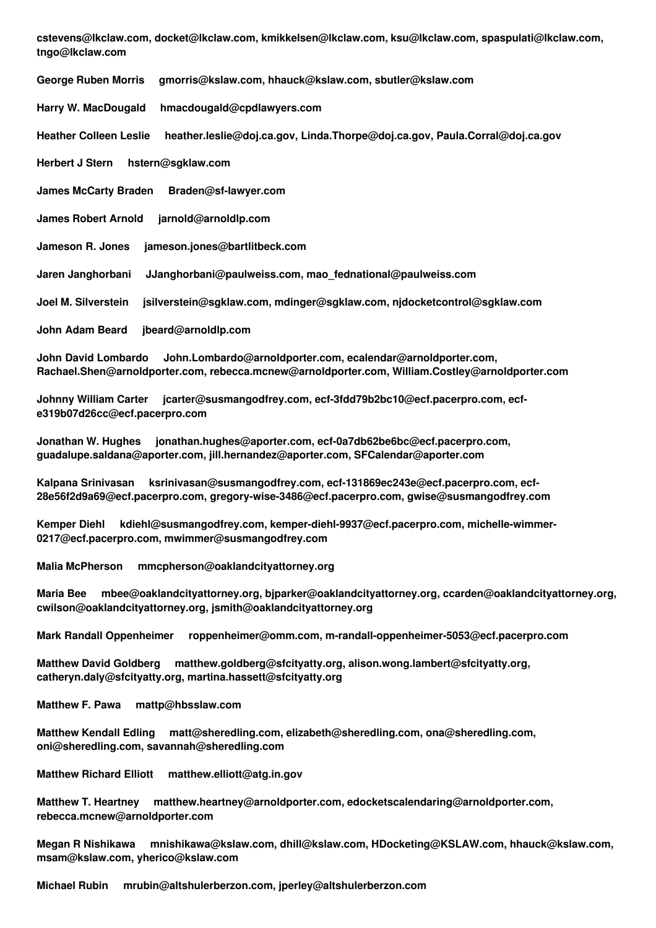**cstevens@lkclaw.com, docket@lkclaw.com, kmikkelsen@lkclaw.com, ksu@lkclaw.com, spaspulati@lkclaw.com, tngo@lkclaw.com**

**George Ruben Morris gmorris@kslaw.com, hhauck@kslaw.com, sbutler@kslaw.com Harry W. MacDougald hmacdougald@cpdlawyers.com Heather Colleen Leslie heather.leslie@doj.ca.gov, Linda.Thorpe@doj.ca.gov, Paula.Corral@doj.ca.gov Herbert J Stern hstern@sgklaw.com James McCarty Braden Braden@sf-lawyer.com James Robert Arnold jarnold@arnoldlp.com Jameson R. Jones jameson.jones@bartlitbeck.com Jaren Janghorbani JJanghorbani@paulweiss.com, mao\_fednational@paulweiss.com Joel M. Silverstein jsilverstein@sgklaw.com, mdinger@sgklaw.com, njdocketcontrol@sgklaw.com John Adam Beard jbeard@arnoldlp.com**

**John David Lombardo John.Lombardo@arnoldporter.com, ecalendar@arnoldporter.com, Rachael.Shen@arnoldporter.com, rebecca.mcnew@arnoldporter.com, William.Costley@arnoldporter.com**

**Johnny William Carter jcarter@susmangodfrey.com, ecf-3fdd79b2bc10@ecf.pacerpro.com, ecfe319b07d26cc@ecf.pacerpro.com**

**Jonathan W. Hughes jonathan.hughes@aporter.com, ecf-0a7db62be6bc@ecf.pacerpro.com, guadalupe.saldana@aporter.com, jill.hernandez@aporter.com, SFCalendar@aporter.com**

**Kalpana Srinivasan ksrinivasan@susmangodfrey.com, ecf-131869ec243e@ecf.pacerpro.com, ecf-28e56f2d9a69@ecf.pacerpro.com, gregory-wise-3486@ecf.pacerpro.com, gwise@susmangodfrey.com**

**Kemper Diehl kdiehl@susmangodfrey.com, kemper-diehl-9937@ecf.pacerpro.com, michelle-wimmer-0217@ecf.pacerpro.com, mwimmer@susmangodfrey.com**

**Malia McPherson mmcpherson@oaklandcityattorney.org**

**Maria Bee mbee@oaklandcityattorney.org, bjparker@oaklandcityattorney.org, ccarden@oaklandcityattorney.org, cwilson@oaklandcityattorney.org, jsmith@oaklandcityattorney.org**

**Mark Randall Oppenheimer roppenheimer@omm.com, m-randall-oppenheimer-5053@ecf.pacerpro.com**

**Matthew David Goldberg matthew.goldberg@sfcityatty.org, alison.wong.lambert@sfcityatty.org, catheryn.daly@sfcityatty.org, martina.hassett@sfcityatty.org**

**Matthew F. Pawa mattp@hbsslaw.com**

**Matthew Kendall Edling matt@sheredling.com, elizabeth@sheredling.com, ona@sheredling.com, oni@sheredling.com, savannah@sheredling.com**

**Matthew Richard Elliott matthew.elliott@atg.in.gov**

**Matthew T. Heartney matthew.heartney@arnoldporter.com, edocketscalendaring@arnoldporter.com, rebecca.mcnew@arnoldporter.com**

**Megan R Nishikawa mnishikawa@kslaw.com, dhill@kslaw.com, HDocketing@KSLAW.com, hhauck@kslaw.com, msam@kslaw.com, yherico@kslaw.com**

**Michael Rubin mrubin@altshulerberzon.com, jperley@altshulerberzon.com**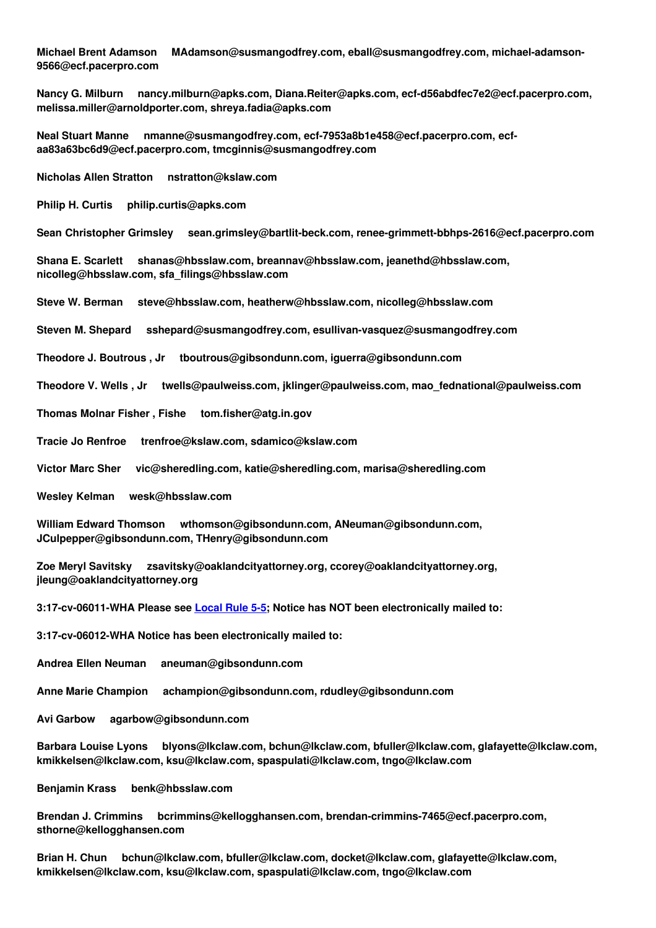**Michael Brent Adamson MAdamson@susmangodfrey.com, eball@susmangodfrey.com, michael-adamson-9566@ecf.pacerpro.com**

**Nancy G. Milburn nancy.milburn@apks.com, Diana.Reiter@apks.com, ecf-d56abdfec7e2@ecf.pacerpro.com, melissa.miller@arnoldporter.com, shreya.fadia@apks.com**

**Neal Stuart Manne nmanne@susmangodfrey.com, ecf-7953a8b1e458@ecf.pacerpro.com, ecfaa83a63bc6d9@ecf.pacerpro.com, tmcginnis@susmangodfrey.com**

**Nicholas Allen Stratton nstratton@kslaw.com**

**Philip H. Curtis philip.curtis@apks.com**

**Sean Christopher Grimsley sean.grimsley@bartlit-beck.com, renee-grimmett-bbhps-2616@ecf.pacerpro.com**

**Shana E. Scarlett shanas@hbsslaw.com, breannav@hbsslaw.com, jeanethd@hbsslaw.com, nicolleg@hbsslaw.com, sfa\_filings@hbsslaw.com**

**Steve W. Berman steve@hbsslaw.com, heatherw@hbsslaw.com, nicolleg@hbsslaw.com**

**Steven M. Shepard sshepard@susmangodfrey.com, esullivan-vasquez@susmangodfrey.com**

**Theodore J. Boutrous , Jr tboutrous@gibsondunn.com, iguerra@gibsondunn.com**

**Theodore V. Wells , Jr twells@paulweiss.com, jklinger@paulweiss.com, mao\_fednational@paulweiss.com**

**Thomas Molnar Fisher , Fishe tom.fisher@atg.in.gov**

**Tracie Jo Renfroe trenfroe@kslaw.com, sdamico@kslaw.com**

**Victor Marc Sher vic@sheredling.com, katie@sheredling.com, marisa@sheredling.com**

**Wesley Kelman wesk@hbsslaw.com**

**William Edward Thomson wthomson@gibsondunn.com, ANeuman@gibsondunn.com, JCulpepper@gibsondunn.com, THenry@gibsondunn.com**

**Zoe Meryl Savitsky zsavitsky@oaklandcityattorney.org, ccorey@oaklandcityattorney.org, jleung@oaklandcityattorney.org**

**3:17-cv-06011-WHA Please see [Local](http://www.cand.uscourts.gov/localrules/civil#SERVICE) Rule 5-5; Notice has NOT been electronically mailed to:**

**3:17-cv-06012-WHA Notice has been electronically mailed to:**

**Andrea Ellen Neuman aneuman@gibsondunn.com**

**Anne Marie Champion achampion@gibsondunn.com, rdudley@gibsondunn.com**

**Avi Garbow agarbow@gibsondunn.com**

**Barbara Louise Lyons blyons@lkclaw.com, bchun@lkclaw.com, bfuller@lkclaw.com, glafayette@lkclaw.com, kmikkelsen@lkclaw.com, ksu@lkclaw.com, spaspulati@lkclaw.com, tngo@lkclaw.com**

**Benjamin Krass benk@hbsslaw.com**

**Brendan J. Crimmins bcrimmins@kellogghansen.com, brendan-crimmins-7465@ecf.pacerpro.com, sthorne@kellogghansen.com**

**Brian H. Chun bchun@lkclaw.com, bfuller@lkclaw.com, docket@lkclaw.com, glafayette@lkclaw.com, kmikkelsen@lkclaw.com, ksu@lkclaw.com, spaspulati@lkclaw.com, tngo@lkclaw.com**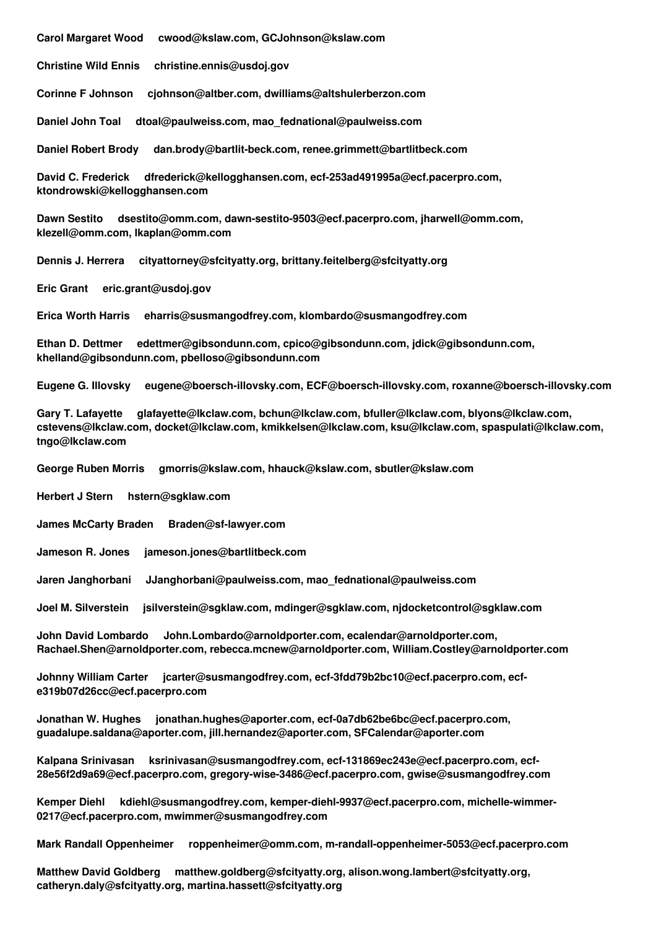**Carol Margaret Wood cwood@kslaw.com, GCJohnson@kslaw.com**

**Christine Wild Ennis christine.ennis@usdoj.gov**

**Corinne F Johnson cjohnson@altber.com, dwilliams@altshulerberzon.com**

**Daniel John Toal dtoal@paulweiss.com, mao\_fednational@paulweiss.com**

**Daniel Robert Brody dan.brody@bartlit-beck.com, renee.grimmett@bartlitbeck.com**

**David C. Frederick dfrederick@kellogghansen.com, ecf-253ad491995a@ecf.pacerpro.com, ktondrowski@kellogghansen.com**

**Dawn Sestito dsestito@omm.com, dawn-sestito-9503@ecf.pacerpro.com, jharwell@omm.com, klezell@omm.com, lkaplan@omm.com**

**Dennis J. Herrera cityattorney@sfcityatty.org, brittany.feitelberg@sfcityatty.org**

**Eric Grant eric.grant@usdoj.gov**

**Erica Worth Harris eharris@susmangodfrey.com, klombardo@susmangodfrey.com**

**Ethan D. Dettmer edettmer@gibsondunn.com, cpico@gibsondunn.com, jdick@gibsondunn.com, khelland@gibsondunn.com, pbelloso@gibsondunn.com**

**Eugene G. Illovsky eugene@boersch-illovsky.com, ECF@boersch-illovsky.com, roxanne@boersch-illovsky.com**

**Gary T. Lafayette glafayette@lkclaw.com, bchun@lkclaw.com, bfuller@lkclaw.com, blyons@lkclaw.com, cstevens@lkclaw.com, docket@lkclaw.com, kmikkelsen@lkclaw.com, ksu@lkclaw.com, spaspulati@lkclaw.com, tngo@lkclaw.com**

**George Ruben Morris gmorris@kslaw.com, hhauck@kslaw.com, sbutler@kslaw.com**

**Herbert J Stern hstern@sgklaw.com**

**James McCarty Braden Braden@sf-lawyer.com**

**Jameson R. Jones jameson.jones@bartlitbeck.com**

**Jaren Janghorbani JJanghorbani@paulweiss.com, mao\_fednational@paulweiss.com**

**Joel M. Silverstein jsilverstein@sgklaw.com, mdinger@sgklaw.com, njdocketcontrol@sgklaw.com**

**John David Lombardo John.Lombardo@arnoldporter.com, ecalendar@arnoldporter.com, Rachael.Shen@arnoldporter.com, rebecca.mcnew@arnoldporter.com, William.Costley@arnoldporter.com**

**Johnny William Carter jcarter@susmangodfrey.com, ecf-3fdd79b2bc10@ecf.pacerpro.com, ecfe319b07d26cc@ecf.pacerpro.com**

**Jonathan W. Hughes jonathan.hughes@aporter.com, ecf-0a7db62be6bc@ecf.pacerpro.com, guadalupe.saldana@aporter.com, jill.hernandez@aporter.com, SFCalendar@aporter.com**

**Kalpana Srinivasan ksrinivasan@susmangodfrey.com, ecf-131869ec243e@ecf.pacerpro.com, ecf-28e56f2d9a69@ecf.pacerpro.com, gregory-wise-3486@ecf.pacerpro.com, gwise@susmangodfrey.com**

**Kemper Diehl kdiehl@susmangodfrey.com, kemper-diehl-9937@ecf.pacerpro.com, michelle-wimmer-0217@ecf.pacerpro.com, mwimmer@susmangodfrey.com**

**Mark Randall Oppenheimer roppenheimer@omm.com, m-randall-oppenheimer-5053@ecf.pacerpro.com**

**Matthew David Goldberg matthew.goldberg@sfcityatty.org, alison.wong.lambert@sfcityatty.org, catheryn.daly@sfcityatty.org, martina.hassett@sfcityatty.org**